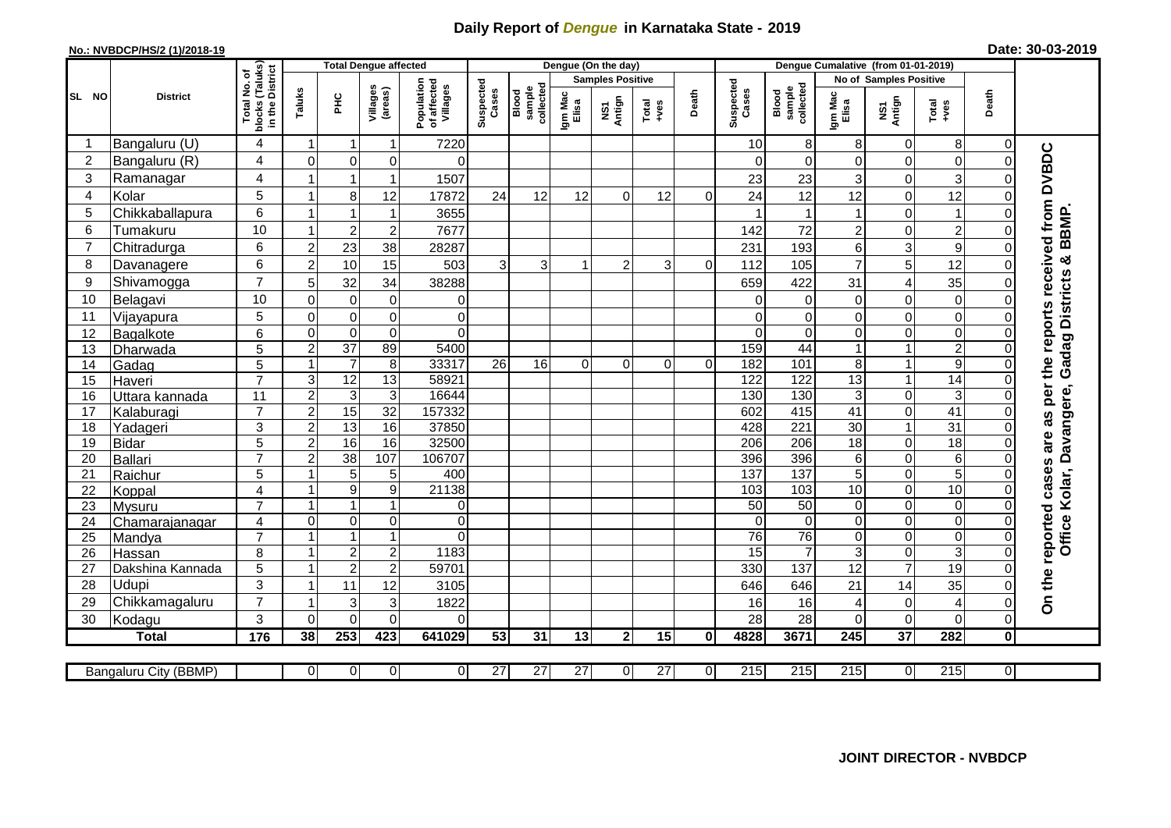## **Daily Report of** *Dengue* **in Karnataka State - 2019**

## **No.: NVBDCP/HS/2 (1)/2018-19 Date: 30-03-2019**

|                |                       |                               | <b>Total Dengue affected</b> |                  |                     |                                       |                    |                              |                  | Dengue (On the day)     |                 |                | Denque Cumalative (from 01-01-2019) |                                   |                  |                               |                           |                      |                                              |
|----------------|-----------------------|-------------------------------|------------------------------|------------------|---------------------|---------------------------------------|--------------------|------------------------------|------------------|-------------------------|-----------------|----------------|-------------------------------------|-----------------------------------|------------------|-------------------------------|---------------------------|----------------------|----------------------------------------------|
|                |                       | (Taluks)<br>District<br>৳     |                              |                  |                     |                                       |                    |                              |                  | <b>Samples Positive</b> |                 |                |                                     |                                   |                  | <b>No of Samples Positive</b> |                           |                      |                                              |
| SL NO          | <b>District</b>       | Total No.<br>blocks<br>in the | Taluks                       | 오<br>도           | Villages<br>(areas) | Population<br>of affected<br>Villages | Suspected<br>Cases | sample<br>collected<br>Blood | Igm Mac<br>Elisa | NS1<br>Antign           | Total<br>+ves   | Death          | Suspected<br>Cases                  | collected<br>sample<br>Blood      | Igm Mac<br>Elisa | NS1<br>Antign                 | Total<br>+ves             | Death                |                                              |
| -1             | Bangaluru (U)         | 4                             | $\overline{\mathbf{1}}$      | -1               | 1                   | 7220                                  |                    |                              |                  |                         |                 |                | 10                                  | 8                                 | 8                | $\mathbf 0$                   | 8                         | $\Omega$             |                                              |
| $\overline{c}$ | Bangaluru (R)         | 4                             | $\Omega$                     | $\mathbf 0$      | 0                   | $\Omega$                              |                    |                              |                  |                         |                 |                | $\Omega$                            | $\Omega$                          | $\Omega$         | $\mathbf 0$                   | $\mathbf 0$               | $\Omega$             |                                              |
| 3              | Ramanagar             | 4                             |                              | $\mathbf 1$      | $\mathbf 1$         | 1507                                  |                    |                              |                  |                         |                 |                | 23                                  | 23                                | 3                | 0                             | 3                         |                      | <b>DVBDC</b>                                 |
| 4              | Kolar                 | 5                             | $\overline{1}$               | 8                | 12                  | 17872                                 | 24                 | 12                           | 12               | $\Omega$                | 12              | $\Omega$       | 24                                  | 12                                | 12               | $\mathbf 0$                   | 12                        | 0                    |                                              |
| 5              | Chikkaballapura       | 6                             | $\overline{1}$               | 1                | 1                   | 3655                                  |                    |                              |                  |                         |                 |                |                                     | 1                                 | 1                | $\mathsf 0$                   | $\mathbf{1}$              | O                    |                                              |
| 6              | Tumakuru              | 10                            | -1                           | $\overline{c}$   | $\overline{c}$      | 7677                                  |                    |                              |                  |                         |                 |                | 142                                 | 72                                | 2                | 0                             | $\overline{c}$            | 0                    | BBMP                                         |
| $\overline{7}$ | Chitradurga           | 6                             | $\overline{c}$               | 23               | 38                  | 28287                                 |                    |                              |                  |                         |                 |                | 231                                 | 193                               | 6                | $\ensuremath{\mathsf{3}}$     | $\boldsymbol{9}$          | O                    |                                              |
| 8              | Davanagere            | 6                             | $\overline{2}$               | 10               | 15                  | 503                                   | 3                  | 3                            | 1                | $\overline{2}$          | 3               | $\Omega$       | 112                                 | 105                               | $\overline{7}$   | 5                             | 12                        | $\Omega$             | න්                                           |
| 9              | Shivamogga            | $\overline{7}$                | 5                            | 32               | 34                  | 38288                                 |                    |                              |                  |                         |                 |                | 659                                 | 422                               | 31               | 4                             | 35                        | O                    | the reports received from<br>Gadag Districts |
| 10             | Belagavi              | 10                            | $\mathbf 0$                  | $\overline{0}$   | $\mathbf 0$         | $\mathbf 0$                           |                    |                              |                  |                         |                 |                | $\Omega$                            | $\Omega$                          | $\mathbf 0$      | $\mathbf 0$                   | $\mathbf 0$               | O                    |                                              |
| 11             | Vijayapura            | 5                             | $\Omega$                     | $\mathbf 0$      | 0                   | $\mathbf 0$                           |                    |                              |                  |                         |                 |                | $\Omega$                            | $\Omega$                          | 0                | $\mathbf 0$                   | $\mathbf 0$               | 0                    |                                              |
| 12             | Bagalkote             | 6                             | $\mathbf 0$                  | $\mathbf 0$      | $\mathbf 0$         | $\Omega$                              |                    |                              |                  |                         |                 |                | $\Omega$                            | $\Omega$                          | $\overline{0}$   | 0                             | $\mathbf 0$               | 0                    |                                              |
| 13             | Dharwada              | 5                             | $\overline{c}$               | $\overline{37}$  | 89                  | 5400                                  |                    |                              |                  |                         |                 |                | 159                                 | 44                                | $\mathbf 1$      | $\mathbf{1}$                  | $\overline{2}$            | $\Omega$             |                                              |
| 14             | Gadag                 | 5                             | $\overline{\mathbf{1}}$      | $\overline{7}$   | 8                   | 33317                                 | 26                 | 16                           | $\Omega$         | $\Omega$                | $\Omega$        | $\Omega$       | 182                                 | 101                               | 8                | $\mathbf{1}$                  | $\overline{9}$            | $\Omega$             |                                              |
| 15             | Haveri                | $\overline{7}$                | 3                            | 12               | 13                  | 58921                                 |                    |                              |                  |                         |                 |                | 122                                 | 122                               | $\overline{13}$  | $\mathbf{1}$                  | $\overline{14}$           | $\Omega$             |                                              |
| 16             | Uttara kannada        | 11                            | $\overline{c}$               | 3                | 3                   | 16644                                 |                    |                              |                  |                         |                 |                | 130                                 | 130                               | 3                | $\mathsf 0$                   | $\ensuremath{\mathsf{3}}$ | 0                    | per<br>Office Kolar, Davangere,              |
| 17             | Kalaburagi            | $\overline{7}$                | $\overline{c}$               | 15               | $\overline{32}$     | 157332                                |                    |                              |                  |                         |                 |                | 602                                 | 415                               | 41               | $\mathbf 0$                   | 41                        | 0                    | as                                           |
| 18             | Yadageri              | $\overline{3}$                | $\overline{2}$               | 13               | 16                  | 37850                                 |                    |                              |                  |                         |                 |                | 428                                 | 221                               | 30               | $\overline{1}$                | 31                        |                      |                                              |
| 19             | <b>Bidar</b>          | 5                             | $\overline{2}$               | 16               | 16                  | 32500                                 |                    |                              |                  |                         |                 |                | 206                                 | 206                               | $\frac{1}{8}$    | $\mathsf 0$                   | $\overline{18}$           | 0                    | are                                          |
| 20             | Ballari               | $\overline{7}$                | $\overline{c}$               | 38               | 107                 | 106707                                |                    |                              |                  |                         |                 |                | 396                                 | 396                               | 6                | $\mathsf 0$                   | $\,6$                     | 0                    |                                              |
| 21             | Raichur               | 5                             |                              | 5                | 5                   | 400                                   |                    |                              |                  |                         |                 |                | 137                                 | 137                               | 5                | $\mathsf 0$                   | $\overline{5}$            | O                    | reported cases                               |
| 22             | Koppal                | $\overline{\mathbf{4}}$       |                              | $\boldsymbol{9}$ | $\overline{9}$      | 21138                                 |                    |                              |                  |                         |                 |                | 103                                 | $\frac{1}{103}$                   | $\overline{10}$  | $\overline{0}$                | 10                        | $\Omega$             |                                              |
| 23             | Mysuru                | $\overline{7}$                | -1                           | $\overline{1}$   | 1                   | $\mathbf 0$                           |                    |                              |                  |                         |                 |                | 50                                  | 50                                | $\mathbf 0$      | $\overline{0}$                | $\overline{0}$            | $\Omega$             |                                              |
| 24             | Chamarajanagar        | 4                             | $\Omega$                     | $\mathbf 0$      | $\mathbf 0$         | $\mathbf 0$                           |                    |                              |                  |                         |                 |                | $\Omega$                            | $\overline{0}$                    | $\mathbf 0$      | $\mathbf 0$                   | $\overline{0}$            | $\Omega$             |                                              |
| 25             | Mandya                | $\overline{7}$                | $\overline{1}$               | $\overline{1}$   | 1                   | $\Omega$                              |                    |                              |                  |                         |                 |                | 76                                  | $\overline{76}$<br>$\overline{7}$ | $\mathbf 0$      | $\mathsf 0$                   | $\mathbf 0$               | $\Omega$             |                                              |
| 26             | Hassan                | 8                             | $\overline{\mathbf{1}}$      | $\overline{2}$   | $\overline{c}$      | 1183                                  |                    |                              |                  |                         |                 |                | 15                                  |                                   | 3                | $\mathbf 0$                   | $\overline{3}$            | $\Omega$<br>$\Omega$ |                                              |
| 27             | Dakshina Kannada      | 5                             |                              | $\overline{2}$   | $\overline{2}$      | 59701                                 |                    |                              |                  |                         |                 |                | 330                                 | 137                               | 12               | $\overline{7}$                | $\overline{19}$           |                      |                                              |
| 28             | Udupi                 | 3<br>$\overline{7}$           | $\overline{\mathbf{1}}$      | 11               | 12                  | 3105                                  |                    |                              |                  |                         |                 |                | 646                                 | 646                               | 21               | 14                            | 35                        | O                    | On the                                       |
| 29             | Chikkamagaluru        |                               |                              | 3                | 3                   | 1822                                  |                    |                              |                  |                         |                 |                | 16                                  | 16                                | 4                | $\mathsf 0$                   | 4                         | 0                    |                                              |
| 30             | Kodagu                | 3                             | $\mathbf{0}$                 | $\mathbf 0$      | $\Omega$            | $\Omega$                              |                    |                              |                  |                         |                 |                | 28                                  | 28                                | $\overline{0}$   | $\mathbf 0$                   | $\mathbf 0$               | 0                    |                                              |
|                | <b>Total</b>          | 176                           | 38                           | 253              | 423                 | 641029                                | 53                 | 31                           | 13               | 2 <sub>l</sub>          | 15              | $\mathbf{0}$   | 4828                                | 3671                              | $\overline{245}$ | $\overline{37}$               | 282                       | 0                    |                                              |
|                | Bangaluru City (BBMP) |                               | $\overline{0}$               | $\overline{0}$   | 0                   | $\overline{0}$                        | $\overline{27}$    | 27                           | $\overline{27}$  | 0                       | $\overline{27}$ | $\overline{0}$ | 215                                 | 215                               | 215              | $\mathbf 0$                   | 215                       | $\overline{0}$       |                                              |